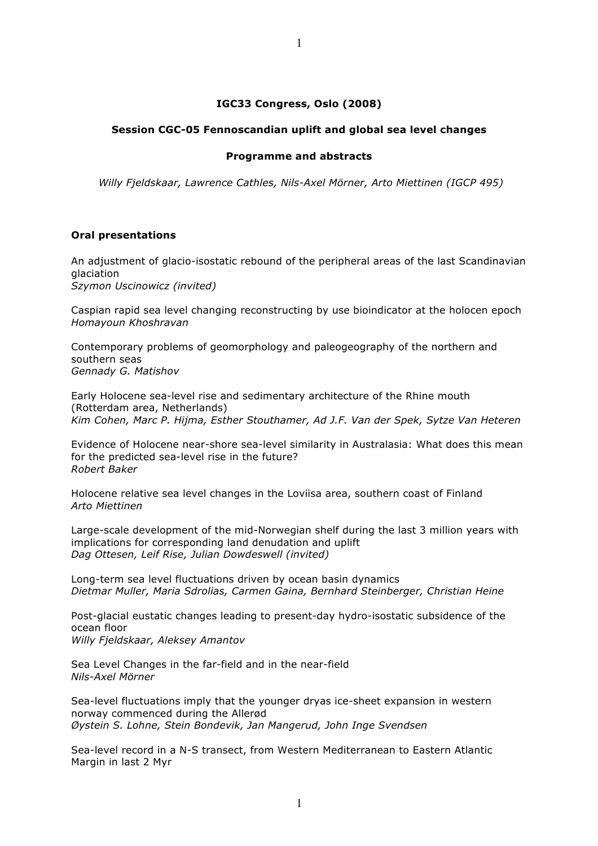# **IGC33 Congress, Oslo (2008)**

#### **Session CGC-05 Fennoscandian uplift and global sea level changes**

#### **Programme and abstracts**

*Willy Fjeldskaar, Lawrence Cathles, Nils-Axel Mörner, Arto Miettinen (IGCP 495)*

#### **Oral presentations**

An adjustment of glacio-isostatic rebound of the peripheral areas of the last Scandinavian glaciation *Szymon Uscinowicz (invited)*

Caspian rapid sea level changing reconstructing by use bioindicator at the holocen epoch *Homayoun Khoshravan*

Contemporary problems of geomorphology and paleogeography of the northern and southern seas *Gennady G. Matishov*

Early Holocene sea-level rise and sedimentary architecture of the Rhine mouth (Rotterdam area, Netherlands) *Kim Cohen, Marc P. Hijma, Esther Stouthamer, Ad J.F. Van der Spek, Sytze Van Heteren*

Evidence of Holocene near-shore sea-level similarity in Australasia: What does this mean for the predicted sea-level rise in the future? *Robert Baker*

Holocene relative sea level changes in the Loviisa area, southern coast of Finland *Arto Miettinen*

Large-scale development of the mid-Norwegian shelf during the last 3 million years with implications for corresponding land denudation and uplift *Dag Ottesen, Leif Rise, Julian Dowdeswell (invited)*

Long-term sea level fluctuations driven by ocean basin dynamics *Dietmar Muller, Maria Sdrolias, Carmen Gaina, Bernhard Steinberger, Christian Heine*

Post-glacial eustatic changes leading to present-day hydro-isostatic subsidence of the ocean floor

*Willy Fjeldskaar, Aleksey Amantov*

Sea Level Changes in the far-field and in the near-field *Nils-Axel Mörner*

Sea-level fluctuations imply that the younger dryas ice-sheet expansion in western norway commenced during the Allerød *Øystein S. Lohne, Stein Bondevik, Jan Mangerud, John Inge Svendsen*

Sea-level record in a N-S transect, from Western Mediterranean to Eastern Atlantic Margin in last 2 Myr

1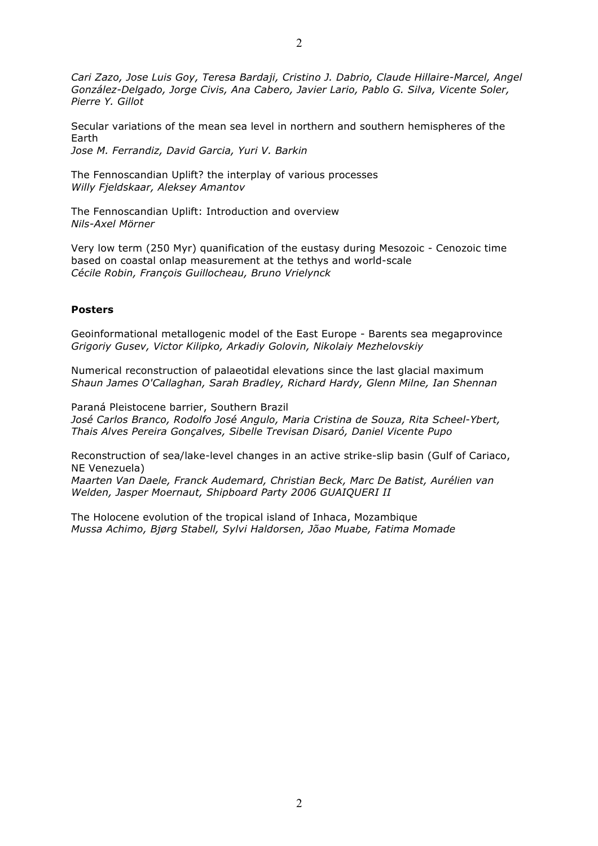*Cari Zazo, Jose Luis Goy, Teresa Bardaji, Cristino J. Dabrio, Claude Hillaire-Marcel, Angel González-Delgado, Jorge Civis, Ana Cabero, Javier Lario, Pablo G. Silva, Vicente Soler, Pierre Y. Gillot*

Secular variations of the mean sea level in northern and southern hemispheres of the Earth

*Jose M. Ferrandiz, David Garcia, Yuri V. Barkin*

The Fennoscandian Uplift? the interplay of various processes *Willy Fjeldskaar, Aleksey Amantov*

The Fennoscandian Uplift: Introduction and overview *Nils-Axel Mörner*

Very low term (250 Myr) quanification of the eustasy during Mesozoic - Cenozoic time based on coastal onlap measurement at the tethys and world-scale *Cécile Robin, François Guillocheau, Bruno Vrielynck*

# **Posters**

Geoinformational metallogenic model of the East Europe - Barents sea megaprovince *Grigoriy Gusev, Victor Kilipko, Arkadiy Golovin, Nikolaiy Mezhelovskiy*

Numerical reconstruction of palaeotidal elevations since the last glacial maximum *Shaun James O'Callaghan, Sarah Bradley, Richard Hardy, Glenn Milne, Ian Shennan*

Paraná Pleistocene barrier, Southern Brazil *José Carlos Branco, Rodolfo José Angulo, Maria Cristina de Souza, Rita Scheel-Ybert, Thais Alves Pereira Gonçalves, Sibelle Trevisan Disaró, Daniel Vicente Pupo*

Reconstruction of sea/lake-level changes in an active strike-slip basin (Gulf of Cariaco, NE Venezuela)

*Maarten Van Daele, Franck Audemard, Christian Beck, Marc De Batist, Aurélien van Welden, Jasper Moernaut, Shipboard Party 2006 GUAIQUERI II*

The Holocene evolution of the tropical island of Inhaca, Mozambique *Mussa Achimo, Bjørg Stabell, Sylvi Haldorsen, Jõao Muabe, Fatima Momade*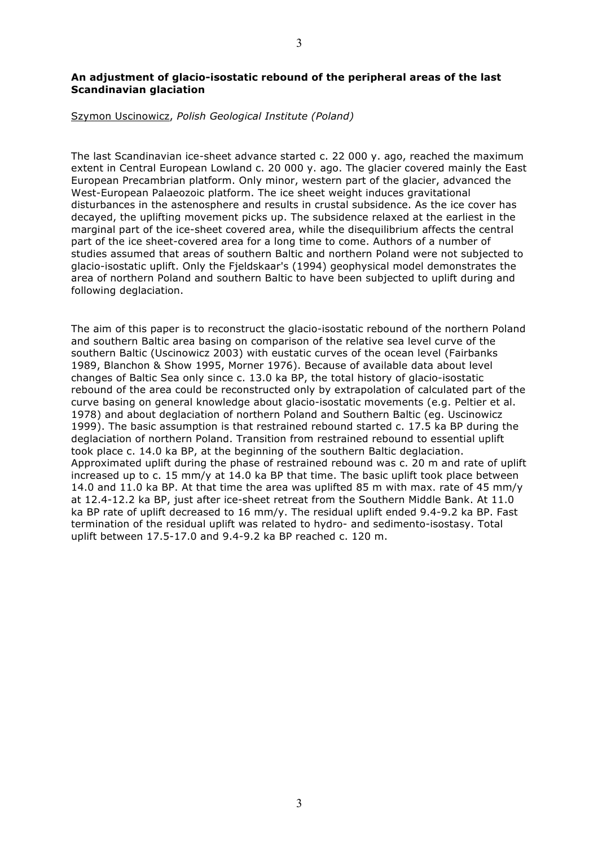# **An adjustment of glacio-isostatic rebound of the peripheral areas of the last Scandinavian glaciation**

#### Szymon Uscinowicz, *Polish Geological Institute (Poland)*

The last Scandinavian ice-sheet advance started c. 22 000 y. ago, reached the maximum extent in Central European Lowland c. 20 000 y. ago. The glacier covered mainly the East European Precambrian platform. Only minor, western part of the glacier, advanced the West-European Palaeozoic platform. The ice sheet weight induces gravitational disturbances in the astenosphere and results in crustal subsidence. As the ice cover has decayed, the uplifting movement picks up. The subsidence relaxed at the earliest in the marginal part of the ice-sheet covered area, while the disequilibrium affects the central part of the ice sheet-covered area for a long time to come. Authors of a number of studies assumed that areas of southern Baltic and northern Poland were not subjected to glacio-isostatic uplift. Only the Fjeldskaar's (1994) geophysical model demonstrates the area of northern Poland and southern Baltic to have been subjected to uplift during and following deglaciation.

The aim of this paper is to reconstruct the glacio-isostatic rebound of the northern Poland and southern Baltic area basing on comparison of the relative sea level curve of the southern Baltic (Uscinowicz 2003) with eustatic curves of the ocean level (Fairbanks 1989, Blanchon & Show 1995, Morner 1976). Because of available data about level changes of Baltic Sea only since c. 13.0 ka BP, the total history of glacio-isostatic rebound of the area could be reconstructed only by extrapolation of calculated part of the curve basing on general knowledge about glacio-isostatic movements (e.g. Peltier et al. 1978) and about deglaciation of northern Poland and Southern Baltic (eg. Uscinowicz 1999). The basic assumption is that restrained rebound started c. 17.5 ka BP during the deglaciation of northern Poland. Transition from restrained rebound to essential uplift took place c. 14.0 ka BP, at the beginning of the southern Baltic deglaciation. Approximated uplift during the phase of restrained rebound was c. 20 m and rate of uplift increased up to c. 15 mm/y at 14.0 ka BP that time. The basic uplift took place between 14.0 and 11.0 ka BP. At that time the area was uplifted 85 m with max. rate of 45 mm/y at 12.4-12.2 ka BP, just after ice-sheet retreat from the Southern Middle Bank. At 11.0 ka BP rate of uplift decreased to 16 mm/y. The residual uplift ended 9.4-9.2 ka BP. Fast termination of the residual uplift was related to hydro- and sedimento-isostasy. Total uplift between 17.5-17.0 and 9.4-9.2 ka BP reached c. 120 m.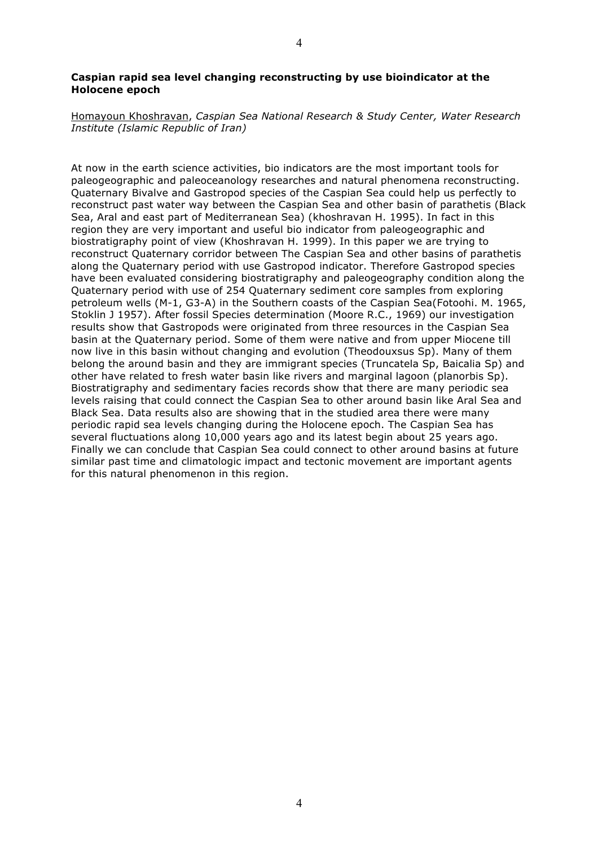### **Caspian rapid sea level changing reconstructing by use bioindicator at the Holocene epoch**

Homayoun Khoshravan, *Caspian Sea National Research & Study Center, Water Research Institute (Islamic Republic of Iran)*

At now in the earth science activities, bio indicators are the most important tools for paleogeographic and paleoceanology researches and natural phenomena reconstructing. Quaternary Bivalve and Gastropod species of the Caspian Sea could help us perfectly to reconstruct past water way between the Caspian Sea and other basin of parathetis (Black Sea, Aral and east part of Mediterranean Sea) (khoshravan H. 1995). In fact in this region they are very important and useful bio indicator from paleogeographic and biostratigraphy point of view (Khoshravan H. 1999). In this paper we are trying to reconstruct Quaternary corridor between The Caspian Sea and other basins of parathetis along the Quaternary period with use Gastropod indicator. Therefore Gastropod species have been evaluated considering biostratigraphy and paleogeography condition along the Quaternary period with use of 254 Quaternary sediment core samples from exploring petroleum wells (M-1, G3-A) in the Southern coasts of the Caspian Sea(Fotoohi. M. 1965, Stoklin J 1957). After fossil Species determination (Moore R.C., 1969) our investigation results show that Gastropods were originated from three resources in the Caspian Sea basin at the Quaternary period. Some of them were native and from upper Miocene till now live in this basin without changing and evolution (Theodouxsus Sp). Many of them belong the around basin and they are immigrant species (Truncatela Sp, Baicalia Sp) and other have related to fresh water basin like rivers and marginal lagoon (planorbis Sp). Biostratigraphy and sedimentary facies records show that there are many periodic sea levels raising that could connect the Caspian Sea to other around basin like Aral Sea and Black Sea. Data results also are showing that in the studied area there were many periodic rapid sea levels changing during the Holocene epoch. The Caspian Sea has several fluctuations along 10,000 years ago and its latest begin about 25 years ago. Finally we can conclude that Caspian Sea could connect to other around basins at future similar past time and climatologic impact and tectonic movement are important agents for this natural phenomenon in this region.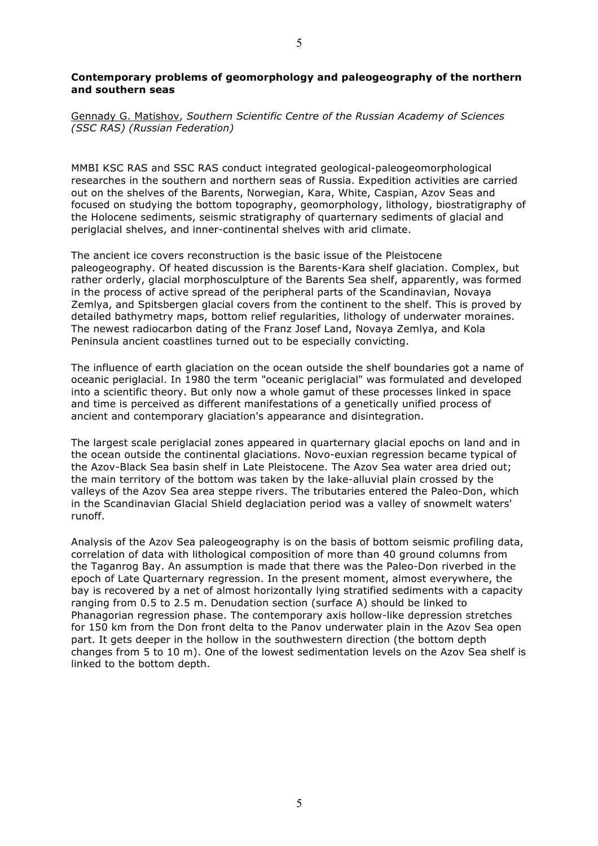### **Contemporary problems of geomorphology and paleogeography of the northern and southern seas**

Gennady G. Matishov, *Southern Scientific Centre of the Russian Academy of Sciences (SSC RAS) (Russian Federation)*

MMBI KSC RAS and SSC RAS conduct integrated geological-paleogeomorphological researches in the southern and northern seas of Russia. Expedition activities are carried out on the shelves of the Barents, Norwegian, Kara, White, Caspian, Azov Seas and focused on studying the bottom topography, geomorphology, lithology, biostratigraphy of the Holocene sediments, seismic stratigraphy of quarternary sediments of glacial and periglacial shelves, and inner-continental shelves with arid climate.

The ancient ice covers reconstruction is the basic issue of the Pleistocene paleogeography. Of heated discussion is the Barents-Kara shelf glaciation. Complex, but rather orderly, glacial morphosculpture of the Barents Sea shelf, apparently, was formed in the process of active spread of the peripheral parts of the Scandinavian, Novaya Zemlya, and Spitsbergen glacial covers from the continent to the shelf. This is proved by detailed bathymetry maps, bottom relief regularities, lithology of underwater moraines. The newest radiocarbon dating of the Franz Josef Land, Novaya Zemlya, and Kola Peninsula ancient coastlines turned out to be especially convicting.

The influence of earth glaciation on the ocean outside the shelf boundaries got a name of oceanic periglacial. In 1980 the term "oceanic periglacial" was formulated and developed into a scientific theory. But only now a whole gamut of these processes linked in space and time is perceived as different manifestations of a genetically unified process of ancient and contemporary glaciation's appearance and disintegration.

The largest scale periglacial zones appeared in quarternary glacial epochs on land and in the ocean outside the continental glaciations. Novo-euxian regression became typical of the Azov-Black Sea basin shelf in Late Pleistocene. The Azov Sea water area dried out; the main territory of the bottom was taken by the lake-alluvial plain crossed by the valleys of the Azov Sea area steppe rivers. The tributaries entered the Paleo-Don, which in the Scandinavian Glacial Shield deglaciation period was a valley of snowmelt waters' runoff.

Analysis of the Azov Sea paleogeography is on the basis of bottom seismic profiling data, correlation of data with lithological composition of more than 40 ground columns from the Taganrog Bay. An assumption is made that there was the Paleo-Don riverbed in the epoch of Late Quarternary regression. In the present moment, almost everywhere, the bay is recovered by a net of almost horizontally lying stratified sediments with a capacity ranging from 0.5 to 2.5 m. Denudation section (surface A) should be linked to Phanagorian regression phase. The contemporary axis hollow-like depression stretches for 150 km from the Don front delta to the Panov underwater plain in the Azov Sea open part. It gets deeper in the hollow in the southwestern direction (the bottom depth changes from 5 to 10 m). One of the lowest sedimentation levels on the Azov Sea shelf is linked to the bottom depth.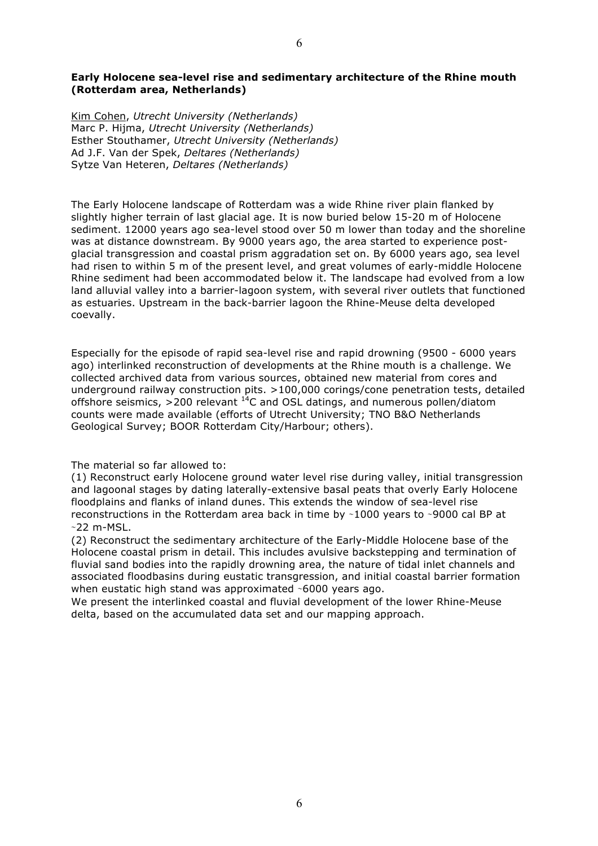Kim Cohen, *Utrecht University (Netherlands)* Marc P. Hijma, *Utrecht University (Netherlands)* Esther Stouthamer, *Utrecht University (Netherlands)* Ad J.F. Van der Spek, *Deltares (Netherlands)* Sytze Van Heteren, *Deltares (Netherlands)*

The Early Holocene landscape of Rotterdam was a wide Rhine river plain flanked by slightly higher terrain of last glacial age. It is now buried below 15-20 m of Holocene sediment. 12000 years ago sea-level stood over 50 m lower than today and the shoreline was at distance downstream. By 9000 years ago, the area started to experience postglacial transgression and coastal prism aggradation set on. By 6000 years ago, sea level had risen to within 5 m of the present level, and great volumes of early-middle Holocene Rhine sediment had been accommodated below it. The landscape had evolved from a low land alluvial valley into a barrier-lagoon system, with several river outlets that functioned as estuaries. Upstream in the back-barrier lagoon the Rhine-Meuse delta developed coevally.

Especially for the episode of rapid sea-level rise and rapid drowning (9500 - 6000 years ago) interlinked reconstruction of developments at the Rhine mouth is a challenge. We collected archived data from various sources, obtained new material from cores and underground railway construction pits. >100,000 corings/cone penetration tests, detailed offshore seismics, >200 relevant  $^{14}$ C and OSL datings, and numerous pollen/diatom counts were made available (efforts of Utrecht University; TNO B&O Netherlands Geological Survey; BOOR Rotterdam City/Harbour; others).

The material so far allowed to:

(1) Reconstruct early Holocene ground water level rise during valley, initial transgression and lagoonal stages by dating laterally-extensive basal peats that overly Early Holocene floodplains and flanks of inland dunes. This extends the window of sea-level rise reconstructions in the Rotterdam area back in time by ∼1000 years to ∼9000 cal BP at ∼22 m-MSL.

(2) Reconstruct the sedimentary architecture of the Early-Middle Holocene base of the Holocene coastal prism in detail. This includes avulsive backstepping and termination of fluvial sand bodies into the rapidly drowning area, the nature of tidal inlet channels and associated floodbasins during eustatic transgression, and initial coastal barrier formation when eustatic high stand was approximated ∼6000 years ago.

We present the interlinked coastal and fluvial development of the lower Rhine-Meuse delta, based on the accumulated data set and our mapping approach.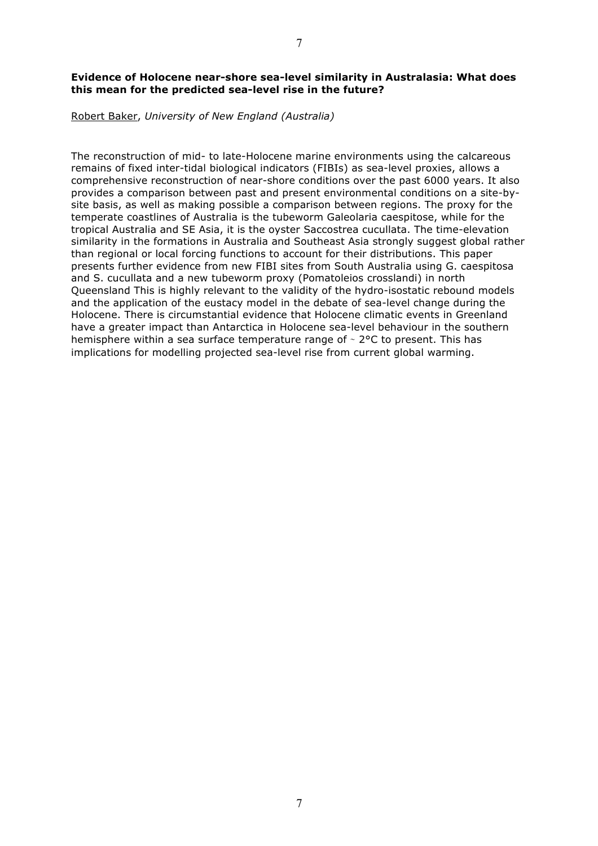# **Evidence of Holocene near-shore sea-level similarity in Australasia: What does this mean for the predicted sea-level rise in the future?**

#### Robert Baker, *University of New England (Australia)*

The reconstruction of mid- to late-Holocene marine environments using the calcareous remains of fixed inter-tidal biological indicators (FIBIs) as sea-level proxies, allows a comprehensive reconstruction of near-shore conditions over the past 6000 years. It also provides a comparison between past and present environmental conditions on a site-bysite basis, as well as making possible a comparison between regions. The proxy for the temperate coastlines of Australia is the tubeworm Galeolaria caespitose, while for the tropical Australia and SE Asia, it is the oyster Saccostrea cucullata. The time-elevation similarity in the formations in Australia and Southeast Asia strongly suggest global rather than regional or local forcing functions to account for their distributions. This paper presents further evidence from new FIBI sites from South Australia using G. caespitosa and S. cucullata and a new tubeworm proxy (Pomatoleios crosslandi) in north Queensland This is highly relevant to the validity of the hydro-isostatic rebound models and the application of the eustacy model in the debate of sea-level change during the Holocene. There is circumstantial evidence that Holocene climatic events in Greenland have a greater impact than Antarctica in Holocene sea-level behaviour in the southern hemisphere within a sea surface temperature range of ∼ 2°C to present. This has implications for modelling projected sea-level rise from current global warming.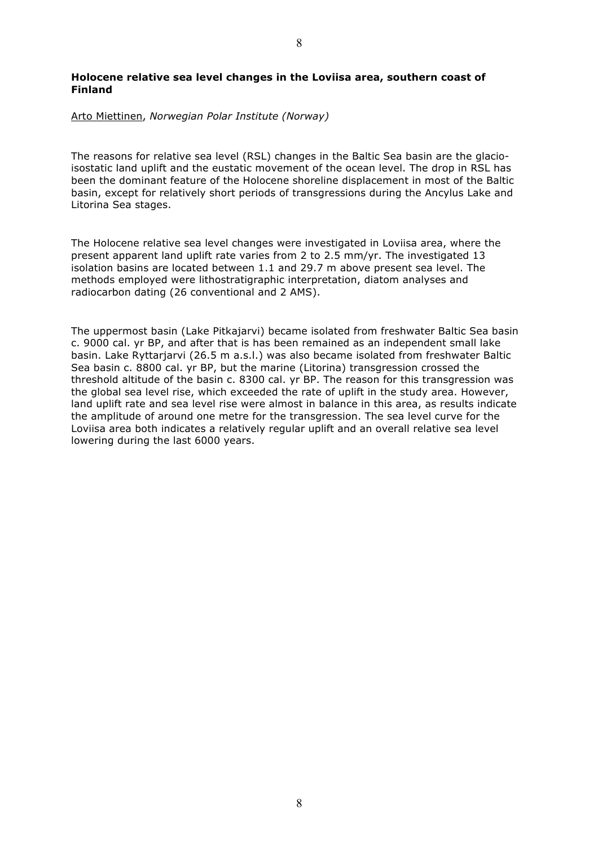# Arto Miettinen, *Norwegian Polar Institute (Norway)*

The reasons for relative sea level (RSL) changes in the Baltic Sea basin are the glacioisostatic land uplift and the eustatic movement of the ocean level. The drop in RSL has been the dominant feature of the Holocene shoreline displacement in most of the Baltic basin, except for relatively short periods of transgressions during the Ancylus Lake and Litorina Sea stages.

The Holocene relative sea level changes were investigated in Loviisa area, where the present apparent land uplift rate varies from 2 to 2.5 mm/yr. The investigated 13 isolation basins are located between 1.1 and 29.7 m above present sea level. The methods employed were lithostratigraphic interpretation, diatom analyses and radiocarbon dating (26 conventional and 2 AMS).

The uppermost basin (Lake Pitkajarvi) became isolated from freshwater Baltic Sea basin c. 9000 cal. yr BP, and after that is has been remained as an independent small lake basin. Lake Ryttarjarvi (26.5 m a.s.l.) was also became isolated from freshwater Baltic Sea basin c. 8800 cal. yr BP, but the marine (Litorina) transgression crossed the threshold altitude of the basin c. 8300 cal. yr BP. The reason for this transgression was the global sea level rise, which exceeded the rate of uplift in the study area. However, land uplift rate and sea level rise were almost in balance in this area, as results indicate the amplitude of around one metre for the transgression. The sea level curve for the Loviisa area both indicates a relatively regular uplift and an overall relative sea level lowering during the last 6000 years.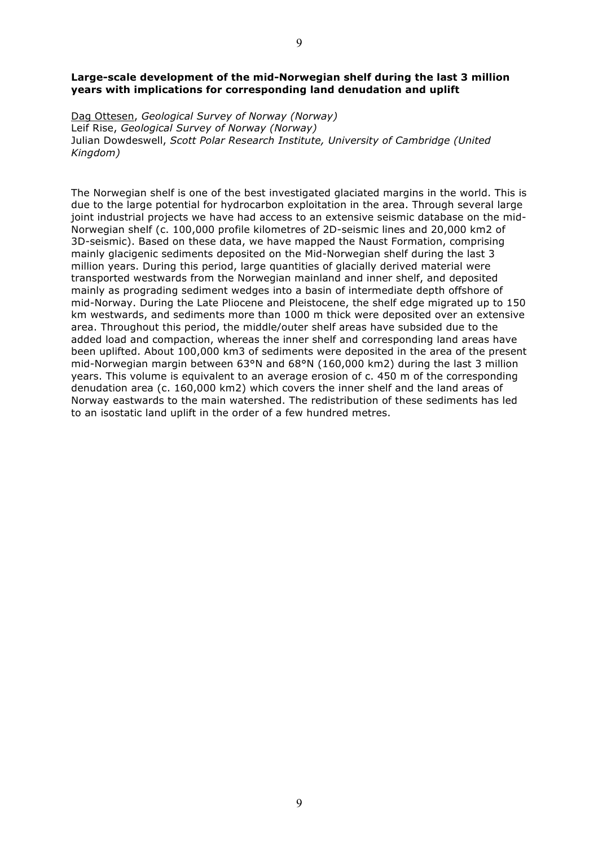#### **Large-scale development of the mid-Norwegian shelf during the last 3 million years with implications for corresponding land denudation and uplift**

Dag Ottesen, *Geological Survey of Norway (Norway)* Leif Rise, *Geological Survey of Norway (Norway)* Julian Dowdeswell, *Scott Polar Research Institute, University of Cambridge (United Kingdom)*

The Norwegian shelf is one of the best investigated glaciated margins in the world. This is due to the large potential for hydrocarbon exploitation in the area. Through several large joint industrial projects we have had access to an extensive seismic database on the mid-Norwegian shelf (c. 100,000 profile kilometres of 2D-seismic lines and 20,000 km2 of 3D-seismic). Based on these data, we have mapped the Naust Formation, comprising mainly glacigenic sediments deposited on the Mid-Norwegian shelf during the last 3 million years. During this period, large quantities of glacially derived material were transported westwards from the Norwegian mainland and inner shelf, and deposited mainly as prograding sediment wedges into a basin of intermediate depth offshore of mid-Norway. During the Late Pliocene and Pleistocene, the shelf edge migrated up to 150 km westwards, and sediments more than 1000 m thick were deposited over an extensive area. Throughout this period, the middle/outer shelf areas have subsided due to the added load and compaction, whereas the inner shelf and corresponding land areas have been uplifted. About 100,000 km3 of sediments were deposited in the area of the present mid-Norwegian margin between 63°N and 68°N (160,000 km2) during the last 3 million years. This volume is equivalent to an average erosion of c. 450 m of the corresponding denudation area (c. 160,000 km2) which covers the inner shelf and the land areas of Norway eastwards to the main watershed. The redistribution of these sediments has led to an isostatic land uplift in the order of a few hundred metres.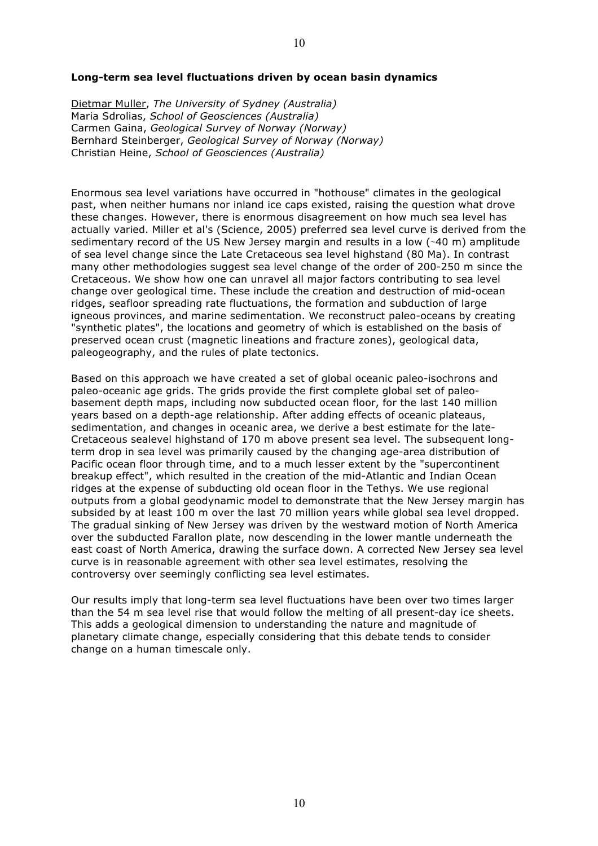#### **Long-term sea level fluctuations driven by ocean basin dynamics**

Dietmar Muller, *The University of Sydney (Australia)* Maria Sdrolias, *School of Geosciences (Australia)* Carmen Gaina, *Geological Survey of Norway (Norway)* Bernhard Steinberger, *Geological Survey of Norway (Norway)* Christian Heine, *School of Geosciences (Australia)*

Enormous sea level variations have occurred in "hothouse" climates in the geological past, when neither humans nor inland ice caps existed, raising the question what drove these changes. However, there is enormous disagreement on how much sea level has actually varied. Miller et al's (Science, 2005) preferred sea level curve is derived from the sedimentary record of the US New Jersey margin and results in a low (∼40 m) amplitude of sea level change since the Late Cretaceous sea level highstand (80 Ma). In contrast many other methodologies suggest sea level change of the order of 200-250 m since the Cretaceous. We show how one can unravel all major factors contributing to sea level change over geological time. These include the creation and destruction of mid-ocean ridges, seafloor spreading rate fluctuations, the formation and subduction of large igneous provinces, and marine sedimentation. We reconstruct paleo-oceans by creating "synthetic plates", the locations and geometry of which is established on the basis of preserved ocean crust (magnetic lineations and fracture zones), geological data, paleogeography, and the rules of plate tectonics.

Based on this approach we have created a set of global oceanic paleo-isochrons and paleo-oceanic age grids. The grids provide the first complete global set of paleobasement depth maps, including now subducted ocean floor, for the last 140 million years based on a depth-age relationship. After adding effects of oceanic plateaus, sedimentation, and changes in oceanic area, we derive a best estimate for the late-Cretaceous sealevel highstand of 170 m above present sea level. The subsequent longterm drop in sea level was primarily caused by the changing age-area distribution of Pacific ocean floor through time, and to a much lesser extent by the "supercontinent breakup effect", which resulted in the creation of the mid-Atlantic and Indian Ocean ridges at the expense of subducting old ocean floor in the Tethys. We use regional outputs from a global geodynamic model to demonstrate that the New Jersey margin has subsided by at least 100 m over the last 70 million years while global sea level dropped. The gradual sinking of New Jersey was driven by the westward motion of North America over the subducted Farallon plate, now descending in the lower mantle underneath the east coast of North America, drawing the surface down. A corrected New Jersey sea level curve is in reasonable agreement with other sea level estimates, resolving the controversy over seemingly conflicting sea level estimates.

Our results imply that long-term sea level fluctuations have been over two times larger than the 54 m sea level rise that would follow the melting of all present-day ice sheets. This adds a geological dimension to understanding the nature and magnitude of planetary climate change, especially considering that this debate tends to consider change on a human timescale only.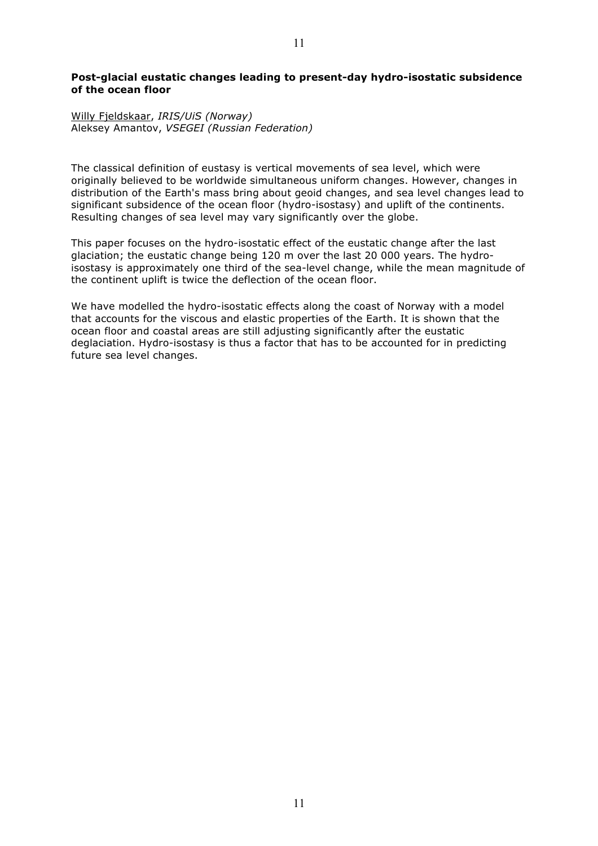#### **Post-glacial eustatic changes leading to present-day hydro-isostatic subsidence of the ocean floor**

#### Willy Fjeldskaar, *IRIS/UiS (Norway)* Aleksey Amantov, *VSEGEI (Russian Federation)*

The classical definition of eustasy is vertical movements of sea level, which were originally believed to be worldwide simultaneous uniform changes. However, changes in distribution of the Earth's mass bring about geoid changes, and sea level changes lead to significant subsidence of the ocean floor (hydro-isostasy) and uplift of the continents. Resulting changes of sea level may vary significantly over the globe.

This paper focuses on the hydro-isostatic effect of the eustatic change after the last glaciation; the eustatic change being 120 m over the last 20 000 years. The hydroisostasy is approximately one third of the sea-level change, while the mean magnitude of the continent uplift is twice the deflection of the ocean floor.

We have modelled the hydro-isostatic effects along the coast of Norway with a model that accounts for the viscous and elastic properties of the Earth. It is shown that the ocean floor and coastal areas are still adjusting significantly after the eustatic deglaciation. Hydro-isostasy is thus a factor that has to be accounted for in predicting future sea level changes.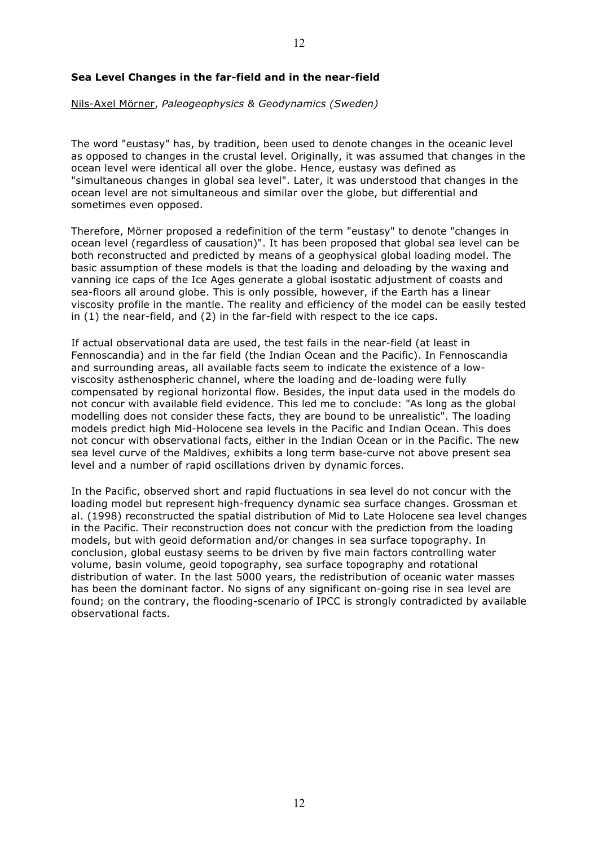# **Sea Level Changes in the far-field and in the near-field**

Nils-Axel Mörner, *Paleogeophysics & Geodynamics (Sweden)*

The word "eustasy" has, by tradition, been used to denote changes in the oceanic level as opposed to changes in the crustal level. Originally, it was assumed that changes in the ocean level were identical all over the globe. Hence, eustasy was defined as "simultaneous changes in global sea level". Later, it was understood that changes in the ocean level are not simultaneous and similar over the globe, but differential and sometimes even opposed.

Therefore, Mörner proposed a redefinition of the term "eustasy" to denote "changes in ocean level (regardless of causation)". It has been proposed that global sea level can be both reconstructed and predicted by means of a geophysical global loading model. The basic assumption of these models is that the loading and deloading by the waxing and vanning ice caps of the Ice Ages generate a global isostatic adjustment of coasts and sea-floors all around globe. This is only possible, however, if the Earth has a linear viscosity profile in the mantle. The reality and efficiency of the model can be easily tested in (1) the near-field, and (2) in the far-field with respect to the ice caps.

If actual observational data are used, the test fails in the near-field (at least in Fennoscandia) and in the far field (the Indian Ocean and the Pacific). In Fennoscandia and surrounding areas, all available facts seem to indicate the existence of a lowviscosity asthenospheric channel, where the loading and de-loading were fully compensated by regional horizontal flow. Besides, the input data used in the models do not concur with available field evidence. This led me to conclude: "As long as the global modelling does not consider these facts, they are bound to be unrealistic". The loading models predict high Mid-Holocene sea levels in the Pacific and Indian Ocean. This does not concur with observational facts, either in the Indian Ocean or in the Pacific. The new sea level curve of the Maldives, exhibits a long term base-curve not above present sea level and a number of rapid oscillations driven by dynamic forces.

In the Pacific, observed short and rapid fluctuations in sea level do not concur with the loading model but represent high-frequency dynamic sea surface changes. Grossman et al. (1998) reconstructed the spatial distribution of Mid to Late Holocene sea level changes in the Pacific. Their reconstruction does not concur with the prediction from the loading models, but with geoid deformation and/or changes in sea surface topography. In conclusion, global eustasy seems to be driven by five main factors controlling water volume, basin volume, geoid topography, sea surface topography and rotational distribution of water. In the last 5000 years, the redistribution of oceanic water masses has been the dominant factor. No signs of any significant on-going rise in sea level are found; on the contrary, the flooding-scenario of IPCC is strongly contradicted by available observational facts.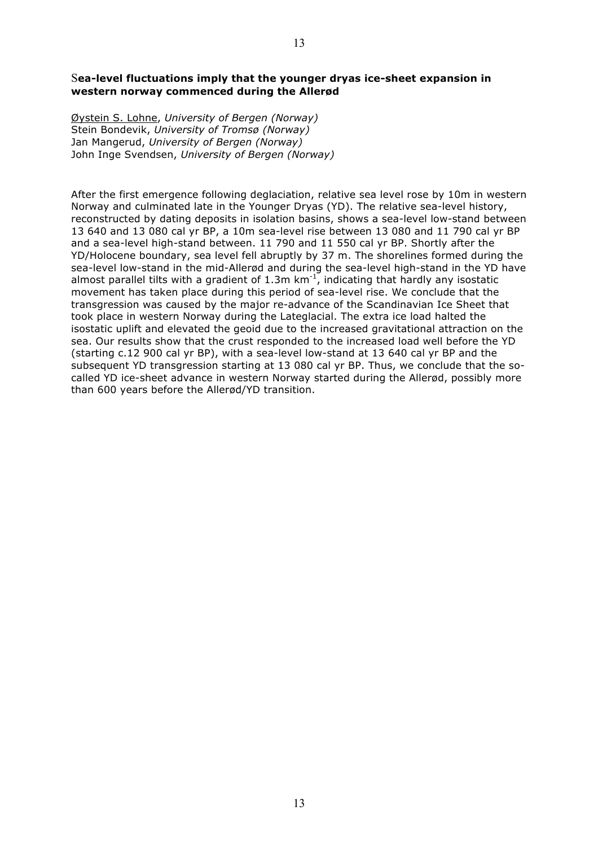Øystein S. Lohne, *University of Bergen (Norway)* Stein Bondevik, *University of Tromsø (Norway)* Jan Mangerud, *University of Bergen (Norway)* John Inge Svendsen, *University of Bergen (Norway)*

After the first emergence following deglaciation, relative sea level rose by 10m in western Norway and culminated late in the Younger Dryas (YD). The relative sea-level history, reconstructed by dating deposits in isolation basins, shows a sea-level low-stand between 13 640 and 13 080 cal yr BP, a 10m sea-level rise between 13 080 and 11 790 cal yr BP and a sea-level high-stand between. 11 790 and 11 550 cal yr BP. Shortly after the YD/Holocene boundary, sea level fell abruptly by 37 m. The shorelines formed during the sea-level low-stand in the mid-Allerød and during the sea-level high-stand in the YD have almost parallel tilts with a gradient of 1.3m  $km^{-1}$ , indicating that hardly any isostatic movement has taken place during this period of sea-level rise. We conclude that the transgression was caused by the major re-advance of the Scandinavian Ice Sheet that took place in western Norway during the Lateglacial. The extra ice load halted the isostatic uplift and elevated the geoid due to the increased gravitational attraction on the sea. Our results show that the crust responded to the increased load well before the YD (starting c.12 900 cal yr BP), with a sea-level low-stand at 13 640 cal yr BP and the subsequent YD transgression starting at 13 080 cal yr BP. Thus, we conclude that the socalled YD ice-sheet advance in western Norway started during the Allerød, possibly more than 600 years before the Allerød/YD transition.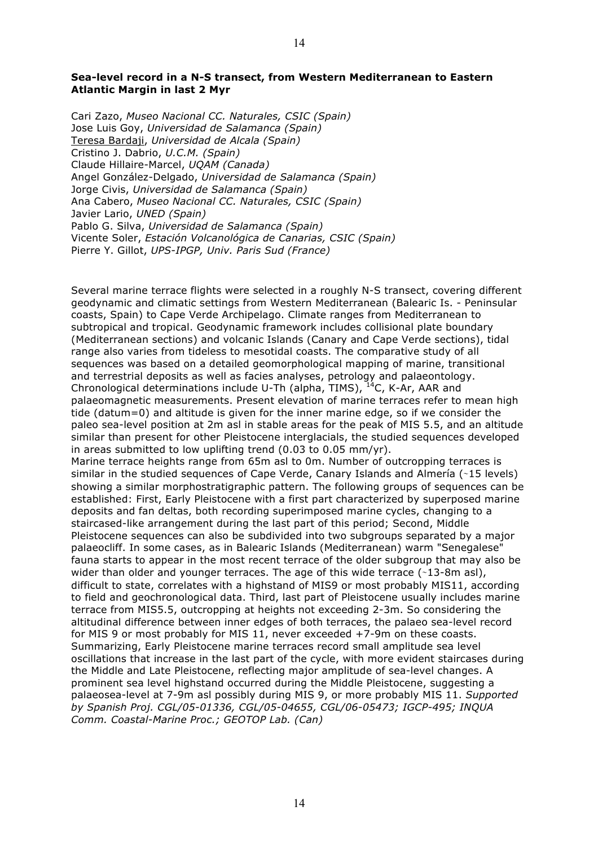# **Sea-level record in a N-S transect, from Western Mediterranean to Eastern Atlantic Margin in last 2 Myr**

Cari Zazo, *Museo Nacional CC. Naturales, CSIC (Spain)* Jose Luis Goy, *Universidad de Salamanca (Spain)* Teresa Bardaji, *Universidad de Alcala (Spain)* Cristino J. Dabrio, *U.C.M. (Spain)* Claude Hillaire-Marcel, *UQAM (Canada)* Angel González-Delgado, *Universidad de Salamanca (Spain)* Jorge Civis, *Universidad de Salamanca (Spain)* Ana Cabero, *Museo Nacional CC. Naturales, CSIC (Spain)* Javier Lario, *UNED (Spain)* Pablo G. Silva, *Universidad de Salamanca (Spain)* Vicente Soler, *Estación Volcanológica de Canarias, CSIC (Spain)* Pierre Y. Gillot, *UPS-IPGP, Univ. Paris Sud (France)*

Several marine terrace flights were selected in a roughly N-S transect, covering different geodynamic and climatic settings from Western Mediterranean (Balearic Is. - Peninsular coasts, Spain) to Cape Verde Archipelago. Climate ranges from Mediterranean to subtropical and tropical. Geodynamic framework includes collisional plate boundary (Mediterranean sections) and volcanic Islands (Canary and Cape Verde sections), tidal range also varies from tideless to mesotidal coasts. The comparative study of all sequences was based on a detailed geomorphological mapping of marine, transitional and terrestrial deposits as well as facies analyses, petrology and palaeontology. Chronological determinations include U-Th (alpha, TIMS), <sup>14</sup>C, K-Ar, AAR and palaeomagnetic measurements. Present elevation of marine terraces refer to mean high tide (datum=0) and altitude is given for the inner marine edge, so if we consider the paleo sea-level position at 2m asl in stable areas for the peak of MIS 5.5, and an altitude similar than present for other Pleistocene interglacials, the studied sequences developed in areas submitted to low uplifting trend (0.03 to 0.05 mm/yr). Marine terrace heights range from 65m asl to 0m. Number of outcropping terraces is similar in the studied sequences of Cape Verde, Canary Islands and Almería (∼15 levels) showing a similar morphostratigraphic pattern. The following groups of sequences can be established: First, Early Pleistocene with a first part characterized by superposed marine deposits and fan deltas, both recording superimposed marine cycles, changing to a staircased-like arrangement during the last part of this period; Second, Middle Pleistocene sequences can also be subdivided into two subgroups separated by a major palaeocliff. In some cases, as in Balearic Islands (Mediterranean) warm "Senegalese" fauna starts to appear in the most recent terrace of the older subgroup that may also be wider than older and younger terraces. The age of this wide terrace (∼13-8m asl), difficult to state, correlates with a highstand of MIS9 or most probably MIS11, according to field and geochronological data. Third, last part of Pleistocene usually includes marine terrace from MIS5.5, outcropping at heights not exceeding 2-3m. So considering the altitudinal difference between inner edges of both terraces, the palaeo sea-level record for MIS 9 or most probably for MIS 11, never exceeded +7-9m on these coasts. Summarizing, Early Pleistocene marine terraces record small amplitude sea level oscillations that increase in the last part of the cycle, with more evident staircases during the Middle and Late Pleistocene, reflecting major amplitude of sea-level changes. A prominent sea level highstand occurred during the Middle Pleistocene, suggesting a palaeosea-level at 7-9m asl possibly during MIS 9, or more probably MIS 11. *Supported by Spanish Proj. CGL/05-01336, CGL/05-04655, CGL/06-05473; IGCP-495; INQUA Comm. Coastal-Marine Proc.; GEOTOP Lab. (Can)*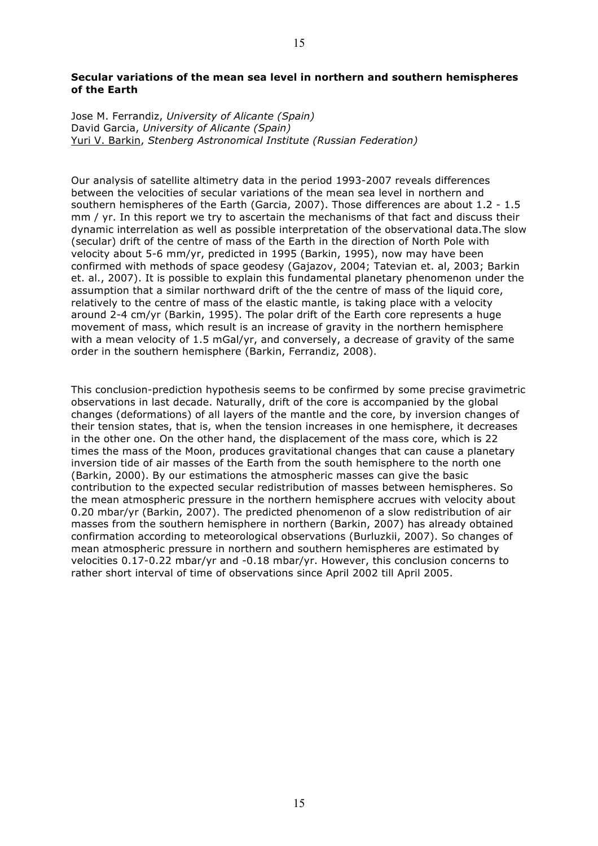### **Secular variations of the mean sea level in northern and southern hemispheres of the Earth**

Jose M. Ferrandiz, *University of Alicante (Spain)* David Garcia, *University of Alicante (Spain)* Yuri V. Barkin, *Stenberg Astronomical Institute (Russian Federation)*

Our analysis of satellite altimetry data in the period 1993-2007 reveals differences between the velocities of secular variations of the mean sea level in northern and southern hemispheres of the Earth (Garcia, 2007). Those differences are about 1.2 - 1.5 mm / yr. In this report we try to ascertain the mechanisms of that fact and discuss their dynamic interrelation as well as possible interpretation of the observational data.The slow (secular) drift of the centre of mass of the Earth in the direction of North Pole with velocity about 5-6 mm/yr, predicted in 1995 (Barkin, 1995), now may have been confirmed with methods of space geodesy (Gajazov, 2004; Tatevian et. al, 2003; Barkin et. al., 2007). It is possible to explain this fundamental planetary phenomenon under the assumption that a similar northward drift of the the centre of mass of the liquid core, relatively to the centre of mass of the elastic mantle, is taking place with a velocity around 2-4 cm/yr (Barkin, 1995). The polar drift of the Earth core represents a huge movement of mass, which result is an increase of gravity in the northern hemisphere with a mean velocity of 1.5 mGal/yr, and conversely, a decrease of gravity of the same order in the southern hemisphere (Barkin, Ferrandiz, 2008).

This conclusion-prediction hypothesis seems to be confirmed by some precise gravimetric observations in last decade. Naturally, drift of the core is accompanied by the global changes (deformations) of all layers of the mantle and the core, by inversion changes of their tension states, that is, when the tension increases in one hemisphere, it decreases in the other one. On the other hand, the displacement of the mass core, which is 22 times the mass of the Moon, produces gravitational changes that can cause a planetary inversion tide of air masses of the Earth from the south hemisphere to the north one (Barkin, 2000). By our estimations the atmospheric masses can give the basic contribution to the expected secular redistribution of masses between hemispheres. So the mean atmospheric pressure in the northern hemisphere accrues with velocity about 0.20 mbar/yr (Barkin, 2007). The predicted phenomenon of a slow redistribution of air masses from the southern hemisphere in northern (Barkin, 2007) has already obtained confirmation according to meteorological observations (Burluzkii, 2007). So changes of mean atmospheric pressure in northern and southern hemispheres are estimated by velocities 0.17-0.22 mbar/yr and -0.18 mbar/yr. However, this conclusion concerns to rather short interval of time of observations since April 2002 till April 2005.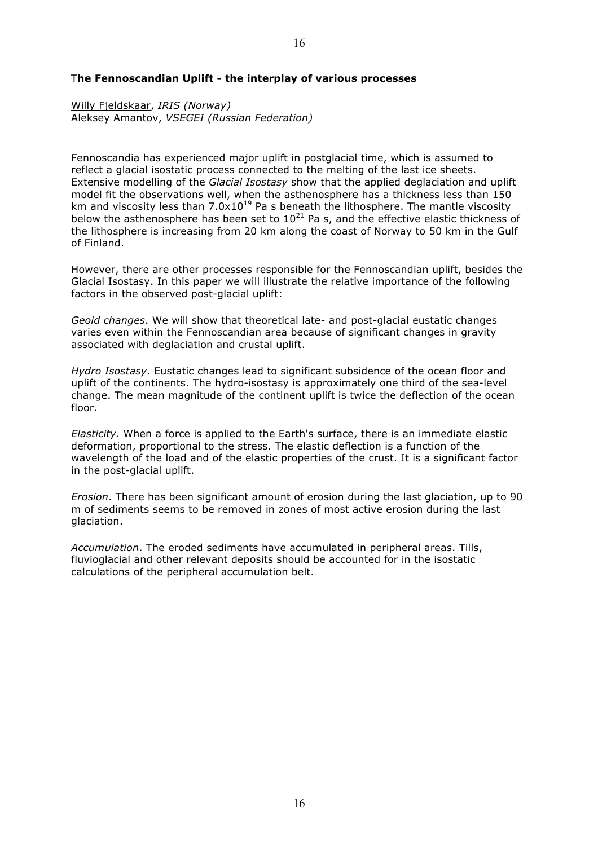# T**he Fennoscandian Uplift - the interplay of various processes**

Willy Fjeldskaar, *IRIS (Norway)* Aleksey Amantov, *VSEGEI (Russian Federation)*

Fennoscandia has experienced major uplift in postglacial time, which is assumed to reflect a glacial isostatic process connected to the melting of the last ice sheets. Extensive modelling of the *Glacial Isostasy* show that the applied deglaciation and uplift model fit the observations well, when the asthenosphere has a thickness less than 150 km and viscosity less than  $7.0x10^{19}$  Pa s beneath the lithosphere. The mantle viscosity below the asthenosphere has been set to  $10^{21}$  Pa s, and the effective elastic thickness of the lithosphere is increasing from 20 km along the coast of Norway to 50 km in the Gulf of Finland.

However, there are other processes responsible for the Fennoscandian uplift, besides the Glacial Isostasy. In this paper we will illustrate the relative importance of the following factors in the observed post-glacial uplift:

*Geoid changes*. We will show that theoretical late- and post-glacial eustatic changes varies even within the Fennoscandian area because of significant changes in gravity associated with deglaciation and crustal uplift.

*Hydro Isostasy*. Eustatic changes lead to significant subsidence of the ocean floor and uplift of the continents. The hydro-isostasy is approximately one third of the sea-level change. The mean magnitude of the continent uplift is twice the deflection of the ocean floor.

*Elasticity*. When a force is applied to the Earth's surface, there is an immediate elastic deformation, proportional to the stress. The elastic deflection is a function of the wavelength of the load and of the elastic properties of the crust. It is a significant factor in the post-glacial uplift.

*Erosion*. There has been significant amount of erosion during the last glaciation, up to 90 m of sediments seems to be removed in zones of most active erosion during the last glaciation.

*Accumulation*. The eroded sediments have accumulated in peripheral areas. Tills, fluvioglacial and other relevant deposits should be accounted for in the isostatic calculations of the peripheral accumulation belt.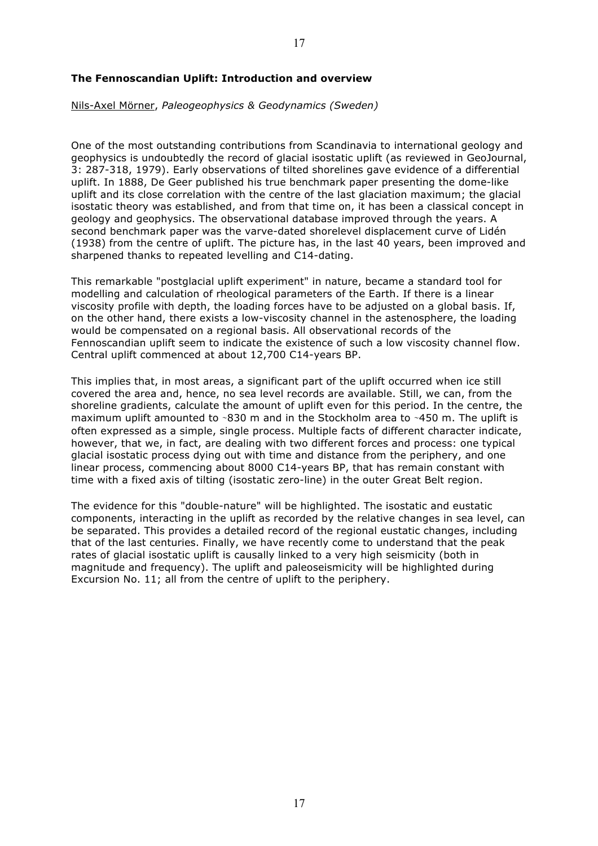### **The Fennoscandian Uplift: Introduction and overview**

#### Nils-Axel Mörner, *Paleogeophysics & Geodynamics (Sweden)*

One of the most outstanding contributions from Scandinavia to international geology and geophysics is undoubtedly the record of glacial isostatic uplift (as reviewed in GeoJournal, 3: 287-318, 1979). Early observations of tilted shorelines gave evidence of a differential uplift. In 1888, De Geer published his true benchmark paper presenting the dome-like uplift and its close correlation with the centre of the last glaciation maximum; the glacial isostatic theory was established, and from that time on, it has been a classical concept in geology and geophysics. The observational database improved through the years. A second benchmark paper was the varve-dated shorelevel displacement curve of Lidén (1938) from the centre of uplift. The picture has, in the last 40 years, been improved and sharpened thanks to repeated levelling and C14-dating.

This remarkable "postglacial uplift experiment" in nature, became a standard tool for modelling and calculation of rheological parameters of the Earth. If there is a linear viscosity profile with depth, the loading forces have to be adjusted on a global basis. If, on the other hand, there exists a low-viscosity channel in the astenosphere, the loading would be compensated on a regional basis. All observational records of the Fennoscandian uplift seem to indicate the existence of such a low viscosity channel flow. Central uplift commenced at about 12,700 C14-years BP.

This implies that, in most areas, a significant part of the uplift occurred when ice still covered the area and, hence, no sea level records are available. Still, we can, from the shoreline gradients, calculate the amount of uplift even for this period. In the centre, the maximum uplift amounted to ∼830 m and in the Stockholm area to ∼450 m. The uplift is often expressed as a simple, single process. Multiple facts of different character indicate, however, that we, in fact, are dealing with two different forces and process: one typical glacial isostatic process dying out with time and distance from the periphery, and one linear process, commencing about 8000 C14-years BP, that has remain constant with time with a fixed axis of tilting (isostatic zero-line) in the outer Great Belt region.

The evidence for this "double-nature" will be highlighted. The isostatic and eustatic components, interacting in the uplift as recorded by the relative changes in sea level, can be separated. This provides a detailed record of the regional eustatic changes, including that of the last centuries. Finally, we have recently come to understand that the peak rates of glacial isostatic uplift is causally linked to a very high seismicity (both in magnitude and frequency). The uplift and paleoseismicity will be highlighted during Excursion No. 11; all from the centre of uplift to the periphery.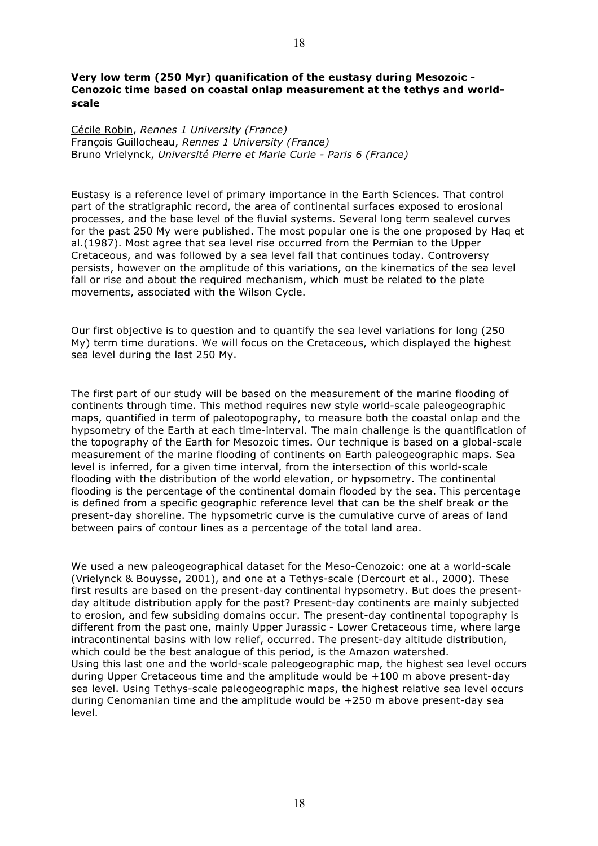Cécile Robin, *Rennes 1 University (France)* François Guillocheau, *Rennes 1 University (France)* Bruno Vrielynck, *Université Pierre et Marie Curie - Paris 6 (France)*

Eustasy is a reference level of primary importance in the Earth Sciences. That control part of the stratigraphic record, the area of continental surfaces exposed to erosional processes, and the base level of the fluvial systems. Several long term sealevel curves for the past 250 My were published. The most popular one is the one proposed by Haq et al.(1987). Most agree that sea level rise occurred from the Permian to the Upper Cretaceous, and was followed by a sea level fall that continues today. Controversy persists, however on the amplitude of this variations, on the kinematics of the sea level fall or rise and about the required mechanism, which must be related to the plate movements, associated with the Wilson Cycle.

Our first objective is to question and to quantify the sea level variations for long (250 My) term time durations. We will focus on the Cretaceous, which displayed the highest sea level during the last 250 My.

The first part of our study will be based on the measurement of the marine flooding of continents through time. This method requires new style world-scale paleogeographic maps, quantified in term of paleotopography, to measure both the coastal onlap and the hypsometry of the Earth at each time-interval. The main challenge is the quantification of the topography of the Earth for Mesozoic times. Our technique is based on a global-scale measurement of the marine flooding of continents on Earth paleogeographic maps. Sea level is inferred, for a given time interval, from the intersection of this world-scale flooding with the distribution of the world elevation, or hypsometry. The continental flooding is the percentage of the continental domain flooded by the sea. This percentage is defined from a specific geographic reference level that can be the shelf break or the present-day shoreline. The hypsometric curve is the cumulative curve of areas of land between pairs of contour lines as a percentage of the total land area.

We used a new paleogeographical dataset for the Meso-Cenozoic: one at a world-scale (Vrielynck & Bouysse, 2001), and one at a Tethys-scale (Dercourt et al., 2000). These first results are based on the present-day continental hypsometry. But does the presentday altitude distribution apply for the past? Present-day continents are mainly subjected to erosion, and few subsiding domains occur. The present-day continental topography is different from the past one, mainly Upper Jurassic - Lower Cretaceous time, where large intracontinental basins with low relief, occurred. The present-day altitude distribution, which could be the best analogue of this period, is the Amazon watershed. Using this last one and the world-scale paleogeographic map, the highest sea level occurs during Upper Cretaceous time and the amplitude would be +100 m above present-day sea level. Using Tethys-scale paleogeographic maps, the highest relative sea level occurs during Cenomanian time and the amplitude would be +250 m above present-day sea level.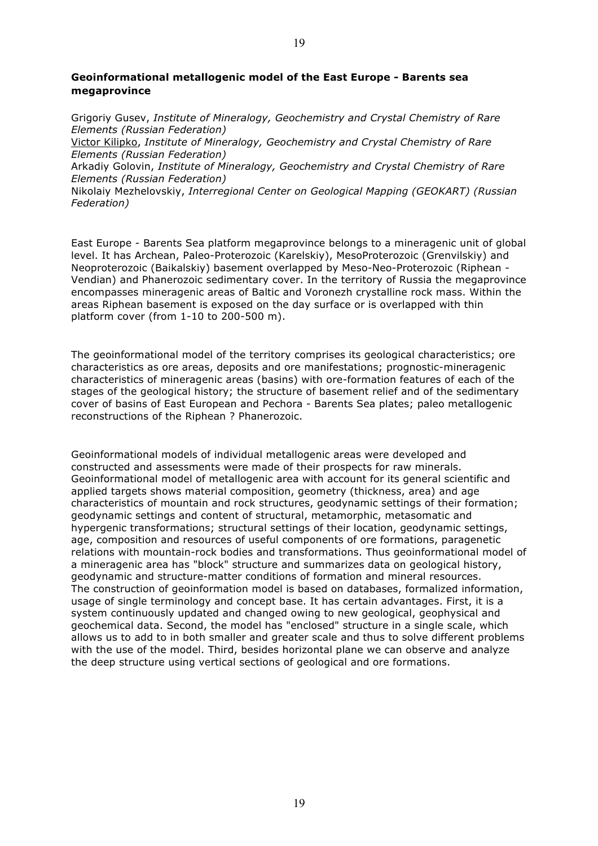# **Geoinformational metallogenic model of the East Europe - Barents sea megaprovince**

Grigoriy Gusev, *Institute of Mineralogy, Geochemistry and Crystal Chemistry of Rare Elements (Russian Federation)*

Victor Kilipko, *Institute of Mineralogy, Geochemistry and Crystal Chemistry of Rare Elements (Russian Federation)*

Arkadiy Golovin, *Institute of Mineralogy, Geochemistry and Crystal Chemistry of Rare Elements (Russian Federation)*

Nikolaiy Mezhelovskiy, *Interregional Center on Geological Mapping (GEOKART) (Russian Federation)*

East Europe - Barents Sea platform megaprovince belongs to a mineragenic unit of global level. It has Archean, Paleo-Proterozoic (Karelskiy), MesoProterozoic (Grenvilskiy) and Neoproterozoic (Baikalskiy) basement overlapped by Meso-Neo-Proterozoic (Riphean - Vendian) and Phanerozoic sedimentary cover. In the territory of Russia the megaprovince encompasses mineragenic areas of Baltic and Voronezh crystalline rock mass. Within the areas Riphean basement is exposed on the day surface or is overlapped with thin platform cover (from 1-10 to 200-500 m).

The geoinformational model of the territory comprises its geological characteristics; ore characteristics as ore areas, deposits and ore manifestations; prognostic-mineragenic characteristics of mineragenic areas (basins) with ore-formation features of each of the stages of the geological history; the structure of basement relief and of the sedimentary cover of basins of East European and Pechora - Barents Sea plates; paleo metallogenic reconstructions of the Riphean ? Phanerozoic.

Geoinformational models of individual metallogenic areas were developed and constructed and assessments were made of their prospects for raw minerals. Geoinformational model of metallogenic area with account for its general scientific and applied targets shows material composition, geometry (thickness, area) and age characteristics of mountain and rock structures, geodynamic settings of their formation; geodynamic settings and content of structural, metamorphic, metasomatic and hypergenic transformations; structural settings of their location, geodynamic settings, age, composition and resources of useful components of ore formations, paragenetic relations with mountain-rock bodies and transformations. Thus geoinformational model of a mineragenic area has "block" structure and summarizes data on geological history, geodynamic and structure-matter conditions of formation and mineral resources. The construction of geoinformation model is based on databases, formalized information, usage of single terminology and concept base. It has certain advantages. First, it is a system continuously updated and changed owing to new geological, geophysical and geochemical data. Second, the model has "enclosed" structure in a single scale, which allows us to add to in both smaller and greater scale and thus to solve different problems with the use of the model. Third, besides horizontal plane we can observe and analyze the deep structure using vertical sections of geological and ore formations.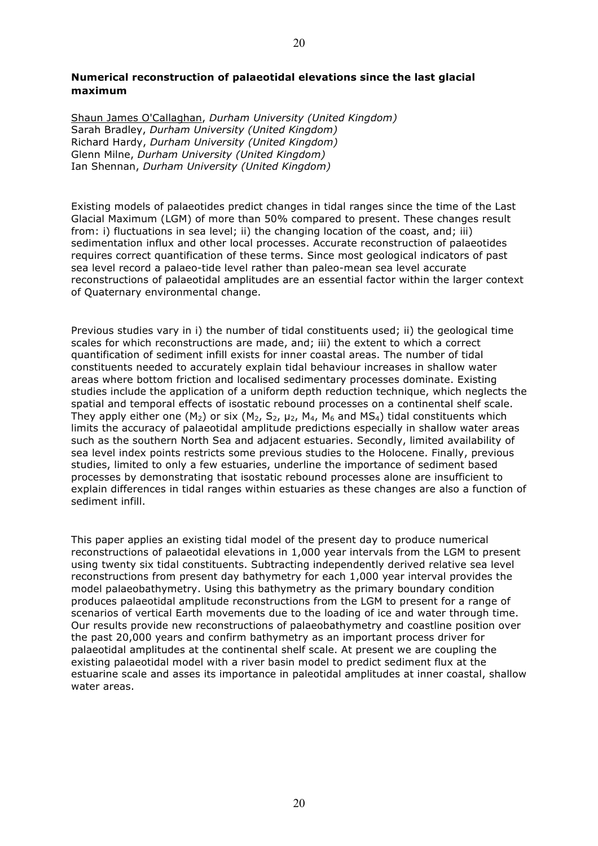# **Numerical reconstruction of palaeotidal elevations since the last glacial maximum**

Shaun James O'Callaghan, *Durham University (United Kingdom)* Sarah Bradley, *Durham University (United Kingdom)* Richard Hardy, *Durham University (United Kingdom)* Glenn Milne, *Durham University (United Kingdom)* Ian Shennan, *Durham University (United Kingdom)*

Existing models of palaeotides predict changes in tidal ranges since the time of the Last Glacial Maximum (LGM) of more than 50% compared to present. These changes result from: i) fluctuations in sea level; ii) the changing location of the coast, and; iii) sedimentation influx and other local processes. Accurate reconstruction of palaeotides requires correct quantification of these terms. Since most geological indicators of past sea level record a palaeo-tide level rather than paleo-mean sea level accurate reconstructions of palaeotidal amplitudes are an essential factor within the larger context of Quaternary environmental change.

Previous studies vary in i) the number of tidal constituents used; ii) the geological time scales for which reconstructions are made, and; iii) the extent to which a correct quantification of sediment infill exists for inner coastal areas. The number of tidal constituents needed to accurately explain tidal behaviour increases in shallow water areas where bottom friction and localised sedimentary processes dominate. Existing studies include the application of a uniform depth reduction technique, which neglects the spatial and temporal effects of isostatic rebound processes on a continental shelf scale. They apply either one (M<sub>2</sub>) or six (M<sub>2</sub>, S<sub>2</sub>,  $\mu$ <sub>2</sub>, M<sub>4</sub>, M<sub>6</sub> and MS<sub>4</sub>) tidal constituents which limits the accuracy of palaeotidal amplitude predictions especially in shallow water areas such as the southern North Sea and adjacent estuaries. Secondly, limited availability of sea level index points restricts some previous studies to the Holocene. Finally, previous studies, limited to only a few estuaries, underline the importance of sediment based processes by demonstrating that isostatic rebound processes alone are insufficient to explain differences in tidal ranges within estuaries as these changes are also a function of sediment infill.

This paper applies an existing tidal model of the present day to produce numerical reconstructions of palaeotidal elevations in 1,000 year intervals from the LGM to present using twenty six tidal constituents. Subtracting independently derived relative sea level reconstructions from present day bathymetry for each 1,000 year interval provides the model palaeobathymetry. Using this bathymetry as the primary boundary condition produces palaeotidal amplitude reconstructions from the LGM to present for a range of scenarios of vertical Earth movements due to the loading of ice and water through time. Our results provide new reconstructions of palaeobathymetry and coastline position over the past 20,000 years and confirm bathymetry as an important process driver for palaeotidal amplitudes at the continental shelf scale. At present we are coupling the existing palaeotidal model with a river basin model to predict sediment flux at the estuarine scale and asses its importance in paleotidal amplitudes at inner coastal, shallow water areas.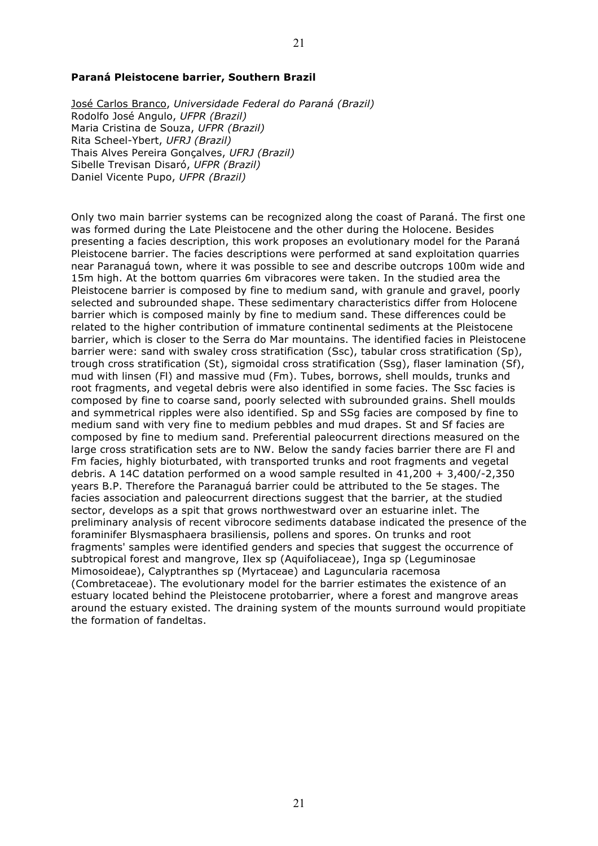#### **Paraná Pleistocene barrier, Southern Brazil**

José Carlos Branco, *Universidade Federal do Paraná (Brazil)* Rodolfo José Angulo, *UFPR (Brazil)* Maria Cristina de Souza, *UFPR (Brazil)* Rita Scheel-Ybert, *UFRJ (Brazil)* Thais Alves Pereira Gonçalves, *UFRJ (Brazil)* Sibelle Trevisan Disaró, *UFPR (Brazil)* Daniel Vicente Pupo, *UFPR (Brazil)*

Only two main barrier systems can be recognized along the coast of Paraná. The first one was formed during the Late Pleistocene and the other during the Holocene. Besides presenting a facies description, this work proposes an evolutionary model for the Paraná Pleistocene barrier. The facies descriptions were performed at sand exploitation quarries near Paranaguá town, where it was possible to see and describe outcrops 100m wide and 15m high. At the bottom quarries 6m vibracores were taken. In the studied area the Pleistocene barrier is composed by fine to medium sand, with granule and gravel, poorly selected and subrounded shape. These sedimentary characteristics differ from Holocene barrier which is composed mainly by fine to medium sand. These differences could be related to the higher contribution of immature continental sediments at the Pleistocene barrier, which is closer to the Serra do Mar mountains. The identified facies in Pleistocene barrier were: sand with swaley cross stratification (Ssc), tabular cross stratification (Sp), trough cross stratification (St), sigmoidal cross stratification (Ssg), flaser lamination (Sf), mud with linsen (Fl) and massive mud (Fm). Tubes, borrows, shell moulds, trunks and root fragments, and vegetal debris were also identified in some facies. The Ssc facies is composed by fine to coarse sand, poorly selected with subrounded grains. Shell moulds and symmetrical ripples were also identified. Sp and SSg facies are composed by fine to medium sand with very fine to medium pebbles and mud drapes. St and Sf facies are composed by fine to medium sand. Preferential paleocurrent directions measured on the large cross stratification sets are to NW. Below the sandy facies barrier there are Fl and Fm facies, highly bioturbated, with transported trunks and root fragments and vegetal debris. A 14C datation performed on a wood sample resulted in 41,200 + 3,400/-2,350 years B.P. Therefore the Paranaguá barrier could be attributed to the 5e stages. The facies association and paleocurrent directions suggest that the barrier, at the studied sector, develops as a spit that grows northwestward over an estuarine inlet. The preliminary analysis of recent vibrocore sediments database indicated the presence of the foraminifer Blysmasphaera brasiliensis, pollens and spores. On trunks and root fragments' samples were identified genders and species that suggest the occurrence of subtropical forest and mangrove, Ilex sp (Aquifoliaceae), Inga sp (Leguminosae Mimosoideae), Calyptranthes sp (Myrtaceae) and Laguncularia racemosa (Combretaceae). The evolutionary model for the barrier estimates the existence of an estuary located behind the Pleistocene protobarrier, where a forest and mangrove areas around the estuary existed. The draining system of the mounts surround would propitiate the formation of fandeltas.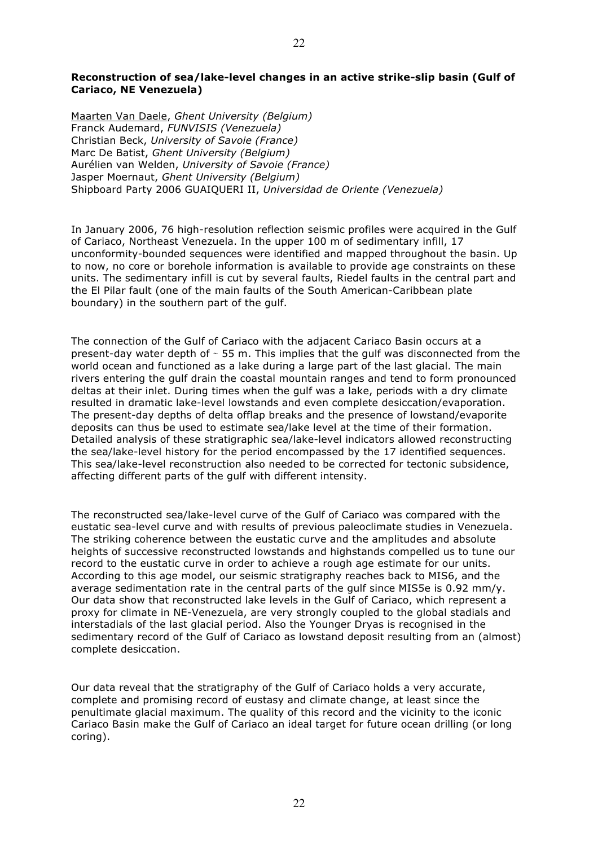# **Reconstruction of sea/lake-level changes in an active strike-slip basin (Gulf of Cariaco, NE Venezuela)**

Maarten Van Daele, *Ghent University (Belgium)* Franck Audemard, *FUNVISIS (Venezuela)* Christian Beck, *University of Savoie (France)* Marc De Batist, *Ghent University (Belgium)* Aurélien van Welden, *University of Savoie (France)* Jasper Moernaut, *Ghent University (Belgium)* Shipboard Party 2006 GUAIQUERI II, *Universidad de Oriente (Venezuela)*

In January 2006, 76 high-resolution reflection seismic profiles were acquired in the Gulf of Cariaco, Northeast Venezuela. In the upper 100 m of sedimentary infill, 17 unconformity-bounded sequences were identified and mapped throughout the basin. Up to now, no core or borehole information is available to provide age constraints on these units. The sedimentary infill is cut by several faults, Riedel faults in the central part and the El Pilar fault (one of the main faults of the South American-Caribbean plate boundary) in the southern part of the gulf.

The connection of the Gulf of Cariaco with the adjacent Cariaco Basin occurs at a present-day water depth of ∼ 55 m. This implies that the gulf was disconnected from the world ocean and functioned as a lake during a large part of the last glacial. The main rivers entering the gulf drain the coastal mountain ranges and tend to form pronounced deltas at their inlet. During times when the gulf was a lake, periods with a dry climate resulted in dramatic lake-level lowstands and even complete desiccation/evaporation. The present-day depths of delta offlap breaks and the presence of lowstand/evaporite deposits can thus be used to estimate sea/lake level at the time of their formation. Detailed analysis of these stratigraphic sea/lake-level indicators allowed reconstructing the sea/lake-level history for the period encompassed by the 17 identified sequences. This sea/lake-level reconstruction also needed to be corrected for tectonic subsidence, affecting different parts of the gulf with different intensity.

The reconstructed sea/lake-level curve of the Gulf of Cariaco was compared with the eustatic sea-level curve and with results of previous paleoclimate studies in Venezuela. The striking coherence between the eustatic curve and the amplitudes and absolute heights of successive reconstructed lowstands and highstands compelled us to tune our record to the eustatic curve in order to achieve a rough age estimate for our units. According to this age model, our seismic stratigraphy reaches back to MIS6, and the average sedimentation rate in the central parts of the gulf since MIS5e is 0.92 mm/y. Our data show that reconstructed lake levels in the Gulf of Cariaco, which represent a proxy for climate in NE-Venezuela, are very strongly coupled to the global stadials and interstadials of the last glacial period. Also the Younger Dryas is recognised in the sedimentary record of the Gulf of Cariaco as lowstand deposit resulting from an (almost) complete desiccation.

Our data reveal that the stratigraphy of the Gulf of Cariaco holds a very accurate, complete and promising record of eustasy and climate change, at least since the penultimate glacial maximum. The quality of this record and the vicinity to the iconic Cariaco Basin make the Gulf of Cariaco an ideal target for future ocean drilling (or long coring).